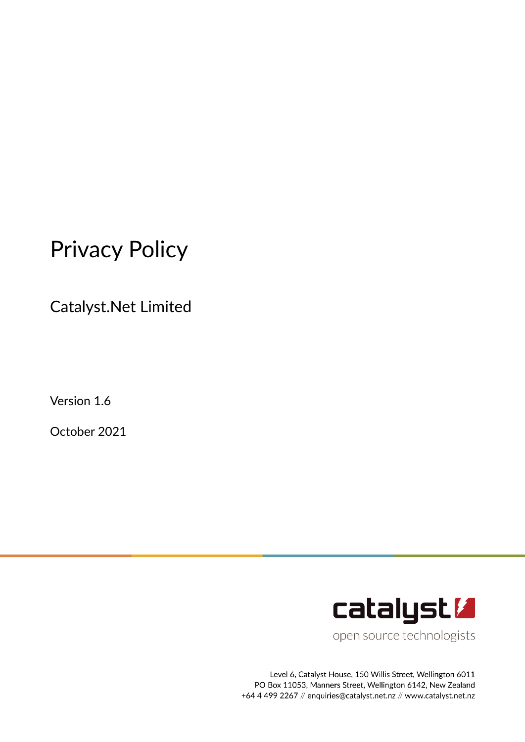# Privacy Policy

Catalyst.Net Limited

Version 1.6

October 2021



open source technologists

Level 6, Catalyst House, 150 Willis Street, Wellington 6011 PO Box 11053, Manners Street, Wellington 6142, New Zealand +64 4 499 2267 // enquiries@catalyst.net.nz // www.catalyst.net.nz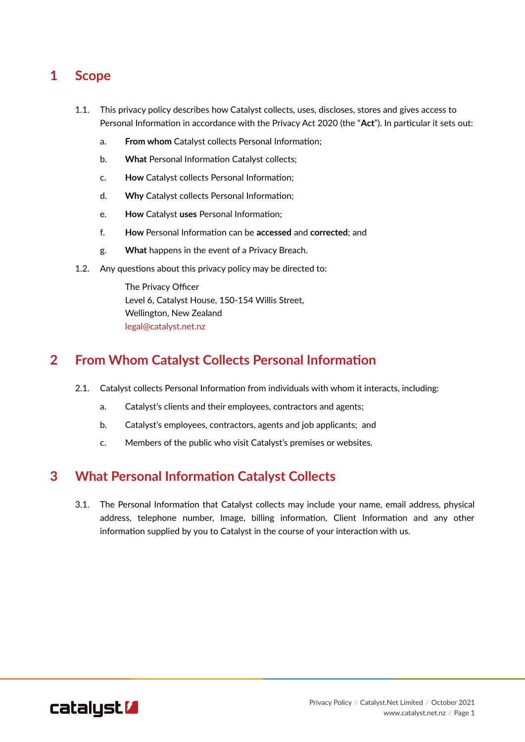## **1 Scope**

- 1.1. This privacy policy describes how Catalyst collects, uses, discloses, stores and gives access to Personal Information in accordance with the Privacy Act 2020 (the "**Act**"). In particular it sets out:
	- a. **From whom** Catalyst collects Personal Information;
	- b. **What** Personal Information Catalyst collects;
	- c. **How** Catalyst collects Personal Information;
	- d. **Why** Catalyst collects Personal Information;
	- e. **How** Catalyst **uses** Personal Information;
	- f. **How** Personal Information can be **accessed** and **corrected**; and
	- g. **What** happens in the event of a Privacy Breach.
- 1.2. Any questions about this privacy policy may be directed to:

The Privacy Officer Level 6, Catalyst House, 150-154 Willis Street, Wellington, New Zealand [legal@catalyst.net.nz](mailto:legal.correspondence@catalyst.net.nz)

#### **2 From Whom Catalyst Collects Personal Information**

- 2.1. Catalyst collects Personal Information from individuals with whom it interacts, including:
	- a. Catalyst's clients and their employees, contractors and agents;
	- b. Catalyst's employees, contractors, agents and job applicants; and
	- c. Members of the public who visit Catalyst's premises or websites.

#### **3 What Personal Information Catalyst Collects**

3.1. The Personal Information that Catalyst collects may include your name, email address, physical address, telephone number, Image, billing information, Client Information and any other information supplied by you to Catalyst in the course of your interaction with us.

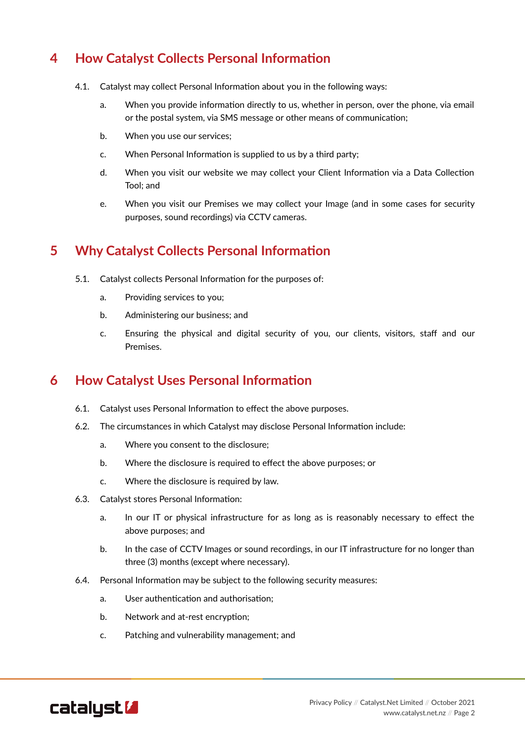## **4 How Catalyst Collects Personal Information**

- 4.1. Catalyst may collect Personal Information about you in the following ways:
	- a. When you provide information directly to us, whether in person, over the phone, via email or the postal system, via SMS message or other means of communication;
	- b. When you use our services;
	- c. When Personal Information is supplied to us by a third party;
	- d. When you visit our website we may collect your Client Information via a Data Collection Tool; and
	- e. When you visit our Premises we may collect your Image (and in some cases for security purposes, sound recordings) via CCTV cameras.

#### **5 Why Catalyst Collects Personal Information**

- 5.1. Catalyst collects Personal Information for the purposes of:
	- a. Providing services to you;
	- b. Administering our business; and
	- c. Ensuring the physical and digital security of you, our clients, visitors, staff and our Premises.

#### **6 How Catalyst Uses Personal Information**

- 6.1. Catalyst uses Personal Information to effect the above purposes.
- 6.2. The circumstances in which Catalyst may disclose Personal Information include:
	- a. Where you consent to the disclosure;
	- b. Where the disclosure is required to effect the above purposes; or
	- c. Where the disclosure is required by law.
- 6.3. Catalyst stores Personal Information:
	- a. In our IT or physical infrastructure for as long as is reasonably necessary to effect the above purposes; and
	- b. In the case of CCTV Images or sound recordings, in our IT infrastructure for no longer than three (3) months (except where necessary).
- 6.4. Personal Information may be subject to the following security measures:
	- a. User authentication and authorisation;
	- b. Network and at-rest encryption;
	- c. Patching and vulnerability management; and

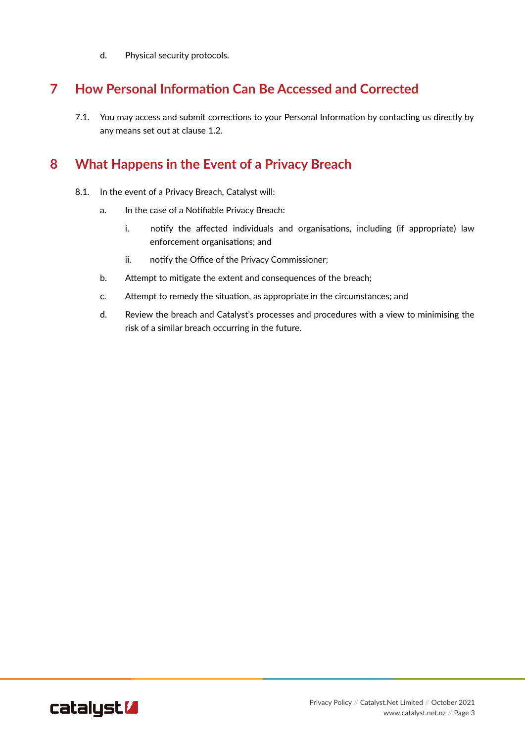d. Physical security protocols.

## **7 How Personal Information Can Be Accessed and Corrected**

7.1. You may access and submit corrections to your Personal Information by contacting us directly by any means set out at clause 1.2.

### **8 What Happens in the Event of a Privacy Breach**

- 8.1. In the event of a Privacy Breach, Catalyst will:
	- a. In the case of a Notifiable Privacy Breach:
		- i. notify the affected individuals and organisations, including (if appropriate) law enforcement organisations; and
		- ii. notify the Office of the Privacy Commissioner;
	- b. Attempt to mitigate the extent and consequences of the breach;
	- c. Attempt to remedy the situation, as appropriate in the circumstances; and
	- d. Review the breach and Catalyst's processes and procedures with a view to minimising the risk of a similar breach occurring in the future.

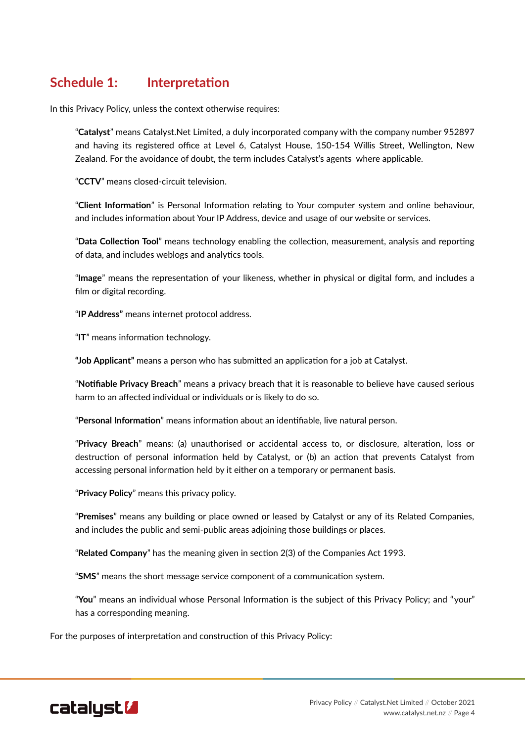#### **Schedule 1: Interpretation**

In this Privacy Policy, unless the context otherwise requires:

"**Catalyst**" means Catalyst.Net Limited, a duly incorporated company with the company number 952897 and having its registered office at Level 6, Catalyst House, 150-154 Willis Street, Wellington, New Zealand. For the avoidance of doubt, the term includes Catalyst's agents where applicable.

"**CCTV**" means closed-circuit television.

"**Client Information**" is Personal Information relating to Your computer system and online behaviour, and includes information about Your IP Address, device and usage of our website or services.

"**Data Collection Tool**" means technology enabling the collection, measurement, analysis and reporting of data, and includes weblogs and analytics tools.

"**Image**" means the representation of your likeness, whether in physical or digital form, and includes a film or digital recording.

"**IP Address"** means internet protocol address.

"**IT**" means information technology.

**"Job Applicant"** means a person who has submitted an application for a job at Catalyst.

"**Notifiable Privacy Breach**" means a privacy breach that it is reasonable to believe have caused serious harm to an affected individual or individuals or is likely to do so.

"**Personal Information**" means information about an identifiable, live natural person.

"**Privacy Breach**" means: (a) unauthorised or accidental access to, or disclosure, alteration, loss or destruction of personal information held by Catalyst, or (b) an action that prevents Catalyst from accessing personal information held by it either on a temporary or permanent basis.

"**Privacy Policy**" means this privacy policy.

"**Premises**" means any building or place owned or leased by Catalyst or any of its Related Companies, and includes the public and semi-public areas adjoining those buildings or places.

"**Related Company**" has the meaning given in section 2(3) of the Companies Act 1993.

"**SMS**" means the short message service component of a communication system.

"**You**" means an individual whose Personal Information is the subject of this Privacy Policy; and "your" has a corresponding meaning.

For the purposes of interpretation and construction of this Privacy Policy: